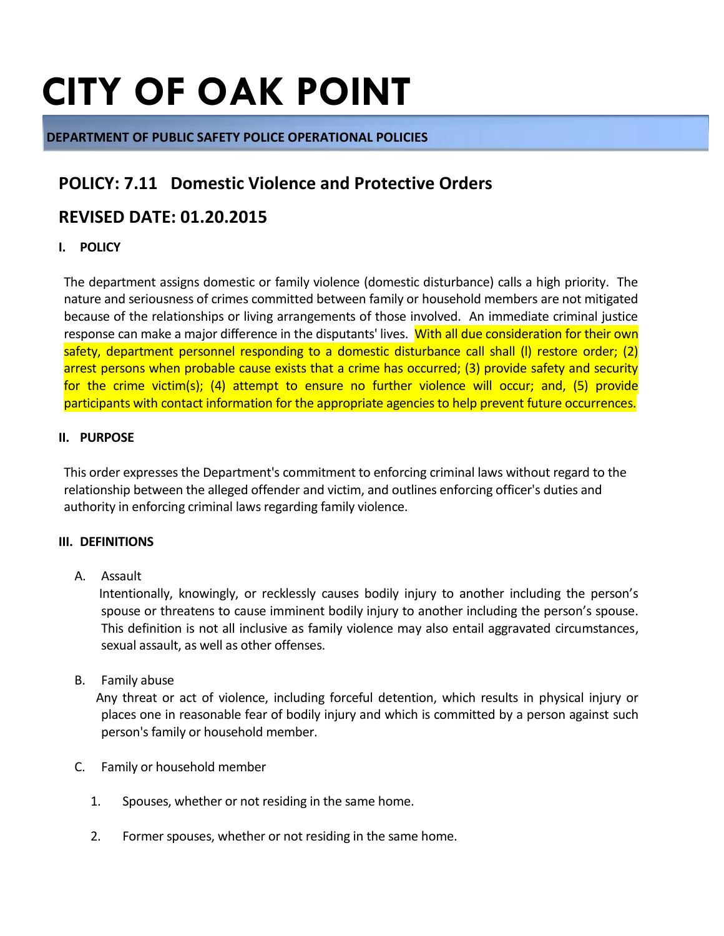# **CITY OF OAK POINT**

#### **DEPARTMENT OF PUBLIC SAFETY POLICE OPERATIONAL POLICIES**

## **POLICY: 7.11 Domestic Violence and Protective Orders**

### **REVISED DATE: 01.20.2015**

#### **I. POLICY**

The department assigns domestic or family violence (domestic disturbance) calls a high priority. The nature and seriousness of crimes committed between family or household members are not mitigated because of the relationships or living arrangements of those involved. An immediate criminal justice response can make a major difference in the disputants' lives. With all due consideration for their own safety, department personnel responding to a domestic disturbance call shall (I) restore order; (2) arrest persons when probable cause exists that a crime has occurred; (3) provide safety and security for the crime victim(s); (4) attempt to ensure no further violence will occur; and, (5) provide participants with contact information for the appropriate agencies to help prevent future occurrences.

#### **II. PURPOSE**

This order expresses the Department's commitment to enforcing criminal laws without regard to the relationship between the alleged offender and victim, and outlines enforcing officer's duties and authority in enforcing criminal laws regarding family violence.

#### **III. DEFINITIONS**

A. Assault

 Intentionally, knowingly, or recklessly causes bodily injury to another including the person's spouse or threatens to cause imminent bodily injury to another including the person's spouse. This definition is not all inclusive as family violence may also entail aggravated circumstances, sexual assault, as well as other offenses.

B. Family abuse

 Any threat or act of violence, including forceful detention, which results in physical injury or places one in reasonable fear of bodily injury and which is committed by a person against such person's family or household member.

- C. Family or household member
	- 1. Spouses, whether or not residing in the same home.
	- 2. Former spouses, whether or not residing in the same home.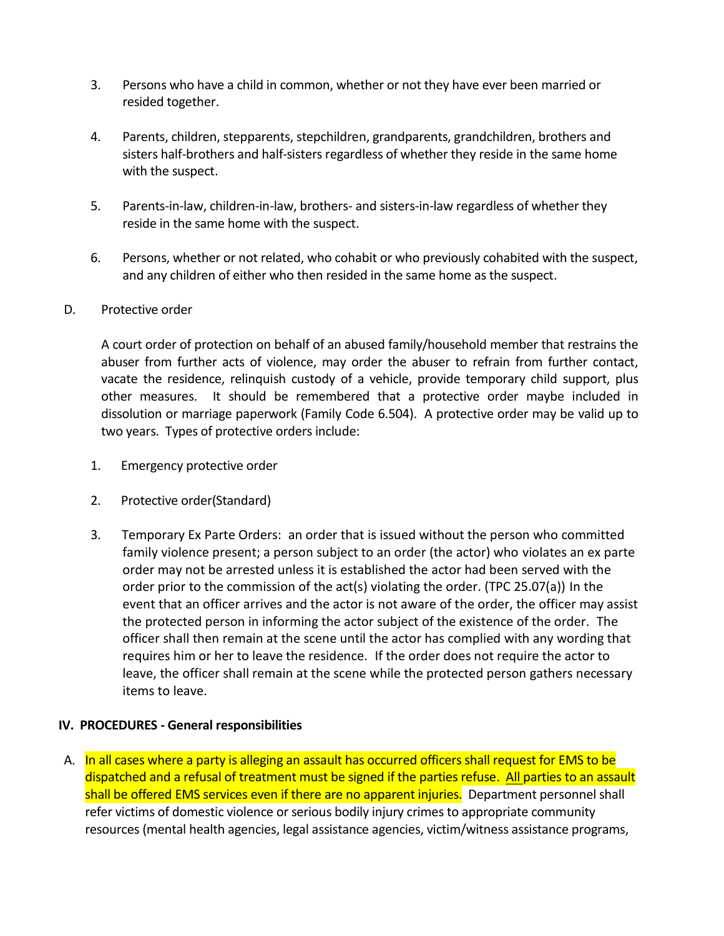- 3. Persons who have a child in common, whether or not they have ever been married or resided together.
- 4. Parents, children, stepparents, stepchildren, grandparents, grandchildren, brothers and sisters half-brothers and half-sisters regardless of whether they reside in the same home with the suspect.
- 5. Parents-in-law, children-in-law, brothers- and sisters-in-law regardless of whether they reside in the same home with the suspect.
- 6. Persons, whether or not related, who cohabit or who previously cohabited with the suspect, and any children of either who then resided in the same home as the suspect.

#### D. Protective order

A court order of protection on behalf of an abused family/household member that restrains the abuser from further acts of violence, may order the abuser to refrain from further contact, vacate the residence, relinquish custody of a vehicle, provide temporary child support, plus other measures. It should be remembered that a protective order maybe included in dissolution or marriage paperwork (Family Code 6.504). A protective order may be valid up to two years. Types of protective orders include:

- 1. Emergency protective order
- 2. Protective order(Standard)
- 3. Temporary Ex Parte Orders: an order that is issued without the person who committed family violence present; a person subject to an order (the actor) who violates an ex parte order may not be arrested unless it is established the actor had been served with the order prior to the commission of the act(s) violating the order. (TPC 25.07(a)) In the event that an officer arrives and the actor is not aware of the order, the officer may assist the protected person in informing the actor subject of the existence of the order. The officer shall then remain at the scene until the actor has complied with any wording that requires him or her to leave the residence. If the order does not require the actor to leave, the officer shall remain at the scene while the protected person gathers necessary items to leave.

#### **IV. PROCEDURES - General responsibilities**

A. In all cases where a party is alleging an assault has occurred officers shall request for EMS to be dispatched and a refusal of treatment must be signed if the parties refuse. All parties to an assault shall be offered EMS services even if there are no apparent injuries. Department personnel shall refer victims of domestic violence or serious bodily injury crimes to appropriate community resources (mental health agencies, legal assistance agencies, victim/witness assistance programs,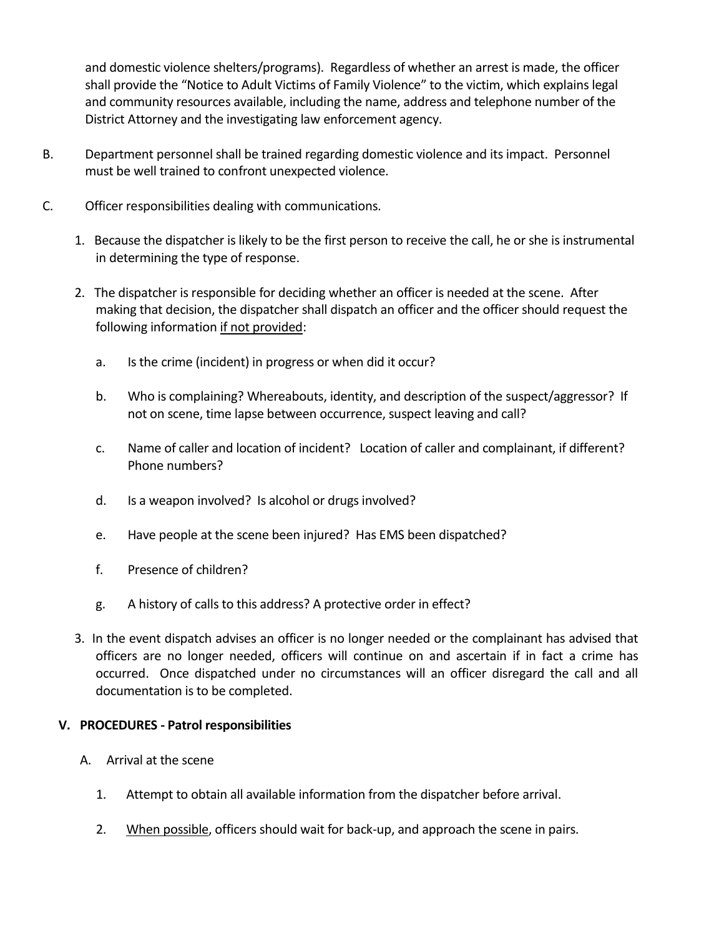and domestic violence shelters/programs). Regardless of whether an arrest is made, the officer shall provide the "Notice to Adult Victims of Family Violence" to the victim, which explains legal and community resources available, including the name, address and telephone number of the District Attorney and the investigating law enforcement agency.

- B. Department personnel shall be trained regarding domestic violence and its impact. Personnel must be well trained to confront unexpected violence.
- C. Officer responsibilities dealing with communications.
	- 1. Because the dispatcher is likely to be the first person to receive the call, he or she is instrumental in determining the type of response.
	- 2. The dispatcher is responsible for deciding whether an officer is needed at the scene. After making that decision, the dispatcher shall dispatch an officer and the officer should request the following information if not provided:
		- a. Is the crime (incident) in progress or when did it occur?
		- b. Who is complaining? Whereabouts, identity, and description of the suspect/aggressor? If not on scene, time lapse between occurrence, suspect leaving and call?
		- c. Name of caller and location of incident? Location of caller and complainant, if different? Phone numbers?
		- d. Is a weapon involved? Is alcohol or drugs involved?
		- e. Have people at the scene been injured? Has EMS been dispatched?
		- f. Presence of children?
		- g. A history of calls to this address? A protective order in effect?
	- 3. In the event dispatch advises an officer is no longer needed or the complainant has advised that officers are no longer needed, officers will continue on and ascertain if in fact a crime has occurred. Once dispatched under no circumstances will an officer disregard the call and all documentation is to be completed.

#### **V. PROCEDURES - Patrol responsibilities**

- A. Arrival at the scene
	- 1. Attempt to obtain all available information from the dispatcher before arrival.
	- 2. When possible, officers should wait for back-up, and approach the scene in pairs.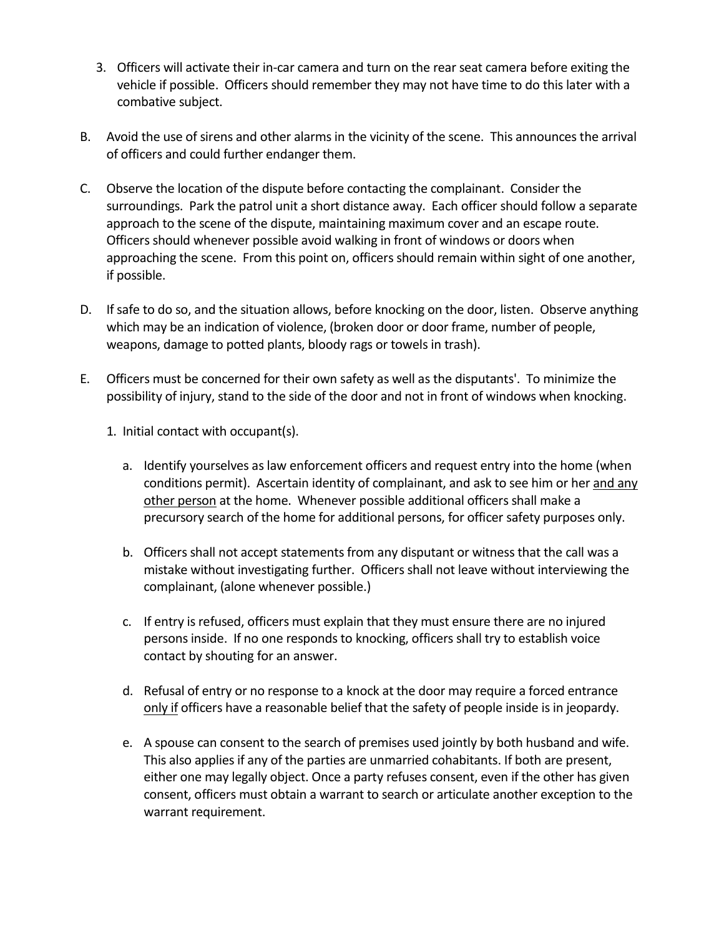- 3. Officers will activate their in-car camera and turn on the rear seat camera before exiting the vehicle if possible. Officers should remember they may not have time to do this later with a combative subject.
- B. Avoid the use of sirens and other alarms in the vicinity of the scene. This announces the arrival of officers and could further endanger them.
- C. Observe the location of the dispute before contacting the complainant. Consider the surroundings. Park the patrol unit a short distance away. Each officer should follow a separate approach to the scene of the dispute, maintaining maximum cover and an escape route. Officers should whenever possible avoid walking in front of windows or doors when approaching the scene. From this point on, officers should remain within sight of one another, if possible.
- D. If safe to do so, and the situation allows, before knocking on the door, listen. Observe anything which may be an indication of violence, (broken door or door frame, number of people, weapons, damage to potted plants, bloody rags or towels in trash).
- E. Officers must be concerned for their own safety as well as the disputants'. To minimize the possibility of injury, stand to the side of the door and not in front of windows when knocking.

1. Initial contact with occupant(s).

- a. Identify yourselves as law enforcement officers and request entry into the home (when conditions permit). Ascertain identity of complainant, and ask to see him or her and any other person at the home. Whenever possible additional officers shall make a precursory search of the home for additional persons, for officer safety purposes only.
- b. Officers shall not accept statements from any disputant or witness that the call was a mistake without investigating further. Officers shall not leave without interviewing the complainant, (alone whenever possible.)
- c. If entry is refused, officers must explain that they must ensure there are no injured persons inside. If no one responds to knocking, officers shall try to establish voice contact by shouting for an answer.
- d. Refusal of entry or no response to a knock at the door may require a forced entrance only if officers have a reasonable belief that the safety of people inside is in jeopardy.
- e. A spouse can consent to the search of premises used jointly by both husband and wife. This also applies if any of the parties are unmarried cohabitants. If both are present, either one may legally object. Once a party refuses consent, even if the other has given consent, officers must obtain a warrant to search or articulate another exception to the warrant requirement.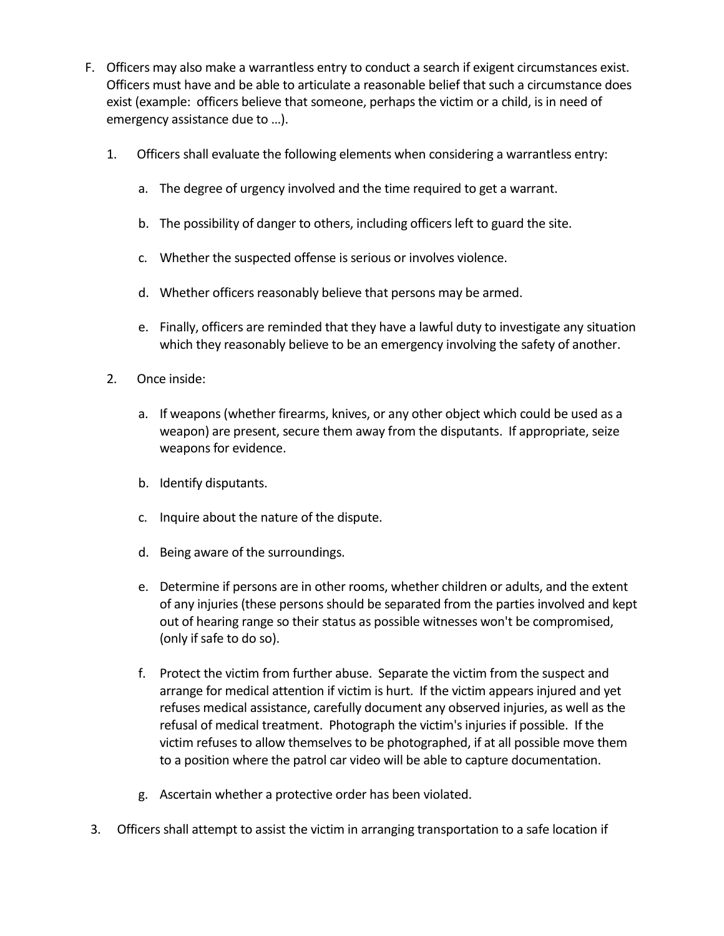- F. Officers may also make a warrantless entry to conduct a search if exigent circumstances exist. Officers must have and be able to articulate a reasonable belief that such a circumstance does exist (example: officers believe that someone, perhaps the victim or a child, is in need of emergency assistance due to …).
	- 1. Officers shall evaluate the following elements when considering a warrantless entry:
		- a. The degree of urgency involved and the time required to get a warrant.
		- b. The possibility of danger to others, including officers left to guard the site.
		- c. Whether the suspected offense is serious or involves violence.
		- d. Whether officers reasonably believe that persons may be armed.
		- e. Finally, officers are reminded that they have a lawful duty to investigate any situation which they reasonably believe to be an emergency involving the safety of another.
	- 2. Once inside:
		- a. If weapons (whether firearms, knives, or any other object which could be used as a weapon) are present, secure them away from the disputants. If appropriate, seize weapons for evidence.
		- b. Identify disputants.
		- c. Inquire about the nature of the dispute.
		- d. Being aware of the surroundings.
		- e. Determine if persons are in other rooms, whether children or adults, and the extent of any injuries (these persons should be separated from the parties involved and kept out of hearing range so their status as possible witnesses won't be compromised, (only if safe to do so).
		- f. Protect the victim from further abuse. Separate the victim from the suspect and arrange for medical attention if victim is hurt. If the victim appears injured and yet refuses medical assistance, carefully document any observed injuries, as well as the refusal of medical treatment. Photograph the victim's injuries if possible. If the victim refuses to allow themselves to be photographed, if at all possible move them to a position where the patrol car video will be able to capture documentation.
		- g. Ascertain whether a protective order has been violated.
- 3. Officers shall attempt to assist the victim in arranging transportation to a safe location if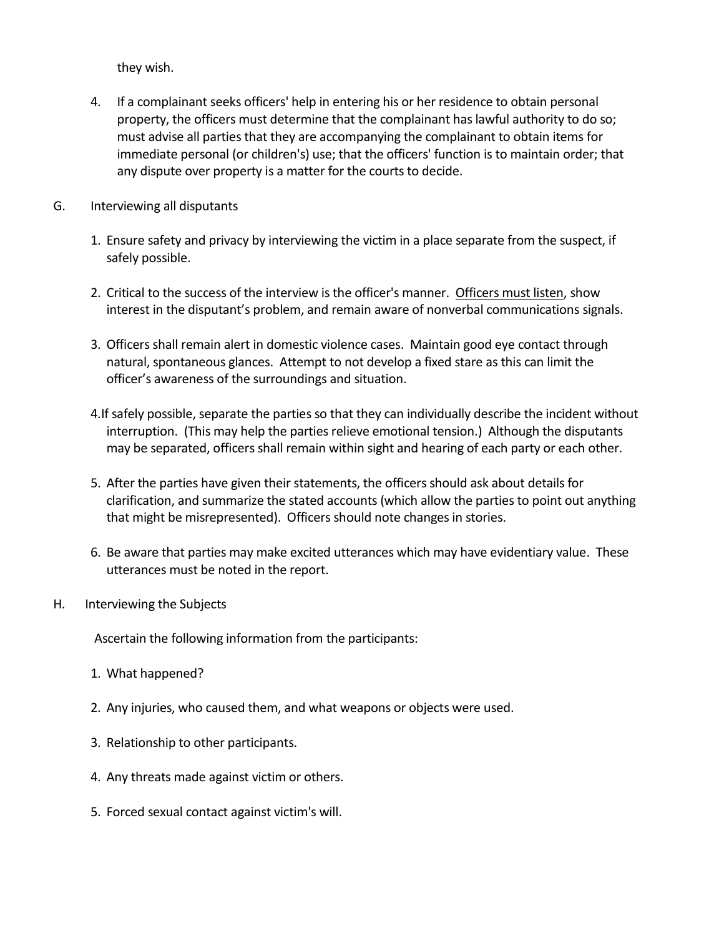they wish.

- 4. If a complainant seeks officers' help in entering his or her residence to obtain personal property, the officers must determine that the complainant has lawful authority to do so; must advise all parties that they are accompanying the complainant to obtain items for immediate personal (or children's) use; that the officers' function is to maintain order; that any dispute over property is a matter for the courts to decide.
- G. Interviewing all disputants
	- 1. Ensure safety and privacy by interviewing the victim in a place separate from the suspect, if safely possible.
	- 2. Critical to the success of the interview is the officer's manner. Officers must listen, show interest in the disputant's problem, and remain aware of nonverbal communications signals.
	- 3. Officers shall remain alert in domestic violence cases. Maintain good eye contact through natural, spontaneous glances. Attempt to not develop a fixed stare as this can limit the officer's awareness of the surroundings and situation.
	- 4.If safely possible, separate the parties so that they can individually describe the incident without interruption. (This may help the parties relieve emotional tension.) Although the disputants may be separated, officers shall remain within sight and hearing of each party or each other.
	- 5. After the parties have given their statements, the officers should ask about details for clarification, and summarize the stated accounts (which allow the parties to point out anything that might be misrepresented). Officers should note changes in stories.
	- 6. Be aware that parties may make excited utterances which may have evidentiary value. These utterances must be noted in the report.
- H. Interviewing the Subjects

Ascertain the following information from the participants:

- 1. What happened?
- 2. Any injuries, who caused them, and what weapons or objects were used.
- 3. Relationship to other participants.
- 4. Any threats made against victim or others.
- 5. Forced sexual contact against victim's will.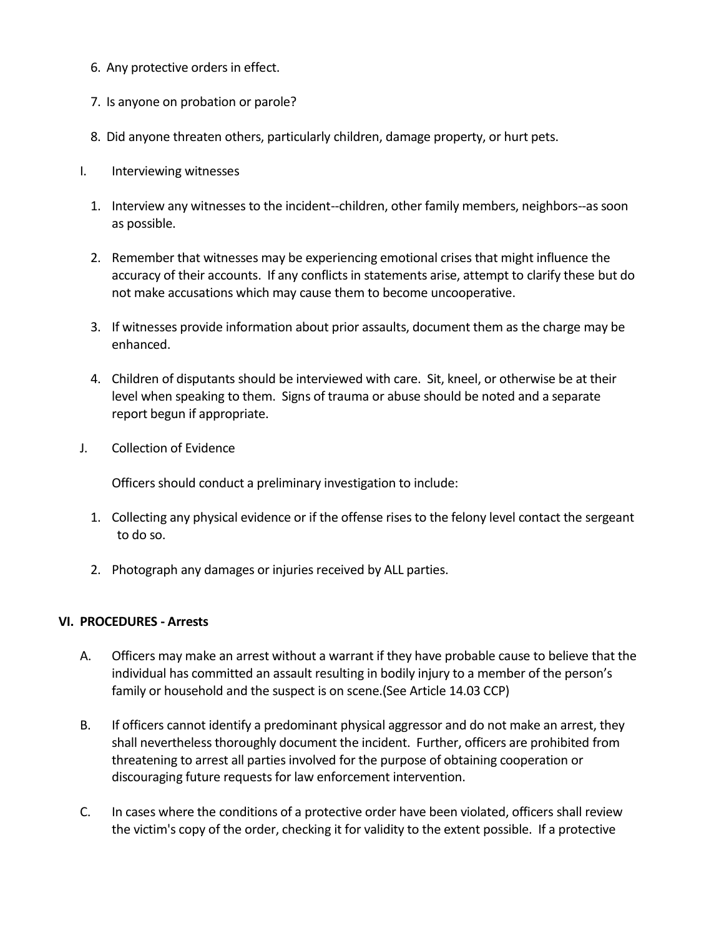- 6. Any protective orders in effect.
- 7. Is anyone on probation or parole?
- 8. Did anyone threaten others, particularly children, damage property, or hurt pets.
- I. Interviewing witnesses
	- 1. Interview any witnesses to the incident--children, other family members, neighbors--as soon as possible.
	- 2. Remember that witnesses may be experiencing emotional crises that might influence the accuracy of their accounts. If any conflicts in statements arise, attempt to clarify these but do not make accusations which may cause them to become uncooperative.
	- 3. If witnesses provide information about prior assaults, document them as the charge may be enhanced.
	- 4. Children of disputants should be interviewed with care. Sit, kneel, or otherwise be at their level when speaking to them. Signs of trauma or abuse should be noted and a separate report begun if appropriate.
- J. Collection of Evidence

Officers should conduct a preliminary investigation to include:

- 1. Collecting any physical evidence or if the offense rises to the felony level contact the sergeant to do so.
- 2. Photograph any damages or injuries received by ALL parties.

#### **VI. PROCEDURES - Arrests**

- A. Officers may make an arrest without a warrant if they have probable cause to believe that the individual has committed an assault resulting in bodily injury to a member of the person's family or household and the suspect is on scene.(See Article 14.03 CCP)
- B. If officers cannot identify a predominant physical aggressor and do not make an arrest, they shall nevertheless thoroughly document the incident. Further, officers are prohibited from threatening to arrest all parties involved for the purpose of obtaining cooperation or discouraging future requests for law enforcement intervention.
- C. In cases where the conditions of a protective order have been violated, officers shall review the victim's copy of the order, checking it for validity to the extent possible. If a protective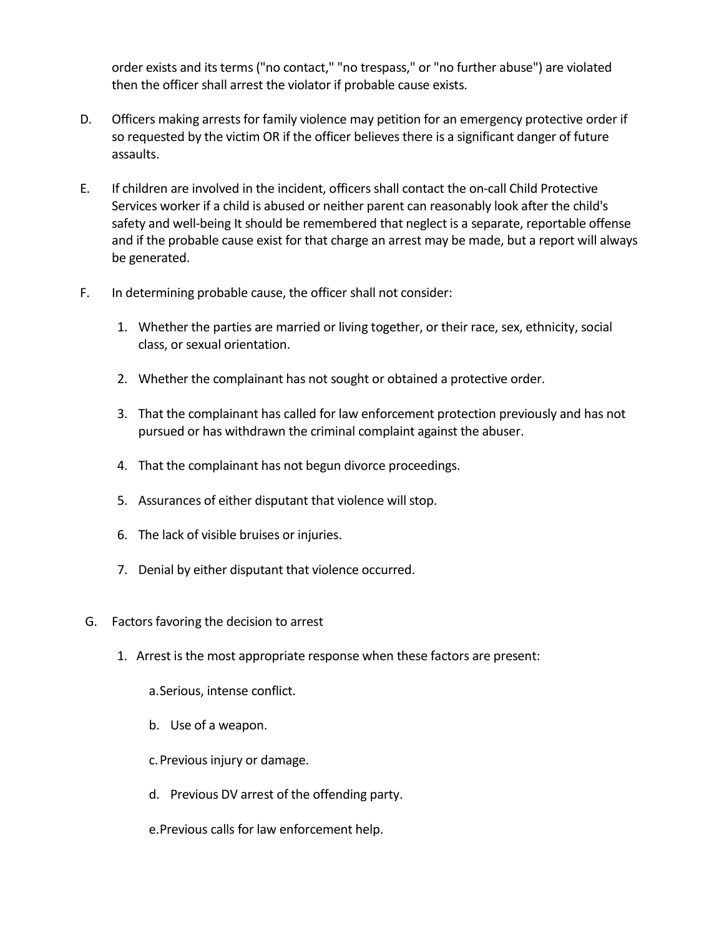order exists and its terms ("no contact," "no trespass," or "no further abuse") are violated then the officer shall arrest the violator if probable cause exists.

- D. Officers making arrests for family violence may petition for an emergency protective order if so requested by the victim OR if the officer believes there is a significant danger of future assaults.
- E. If children are involved in the incident, officers shall contact the on-call Child Protective Services worker if a child is abused or neither parent can reasonably look after the child's safety and well-being It should be remembered that neglect is a separate, reportable offense and if the probable cause exist for that charge an arrest may be made, but a report will always be generated.
- F. In determining probable cause, the officer shall not consider:
	- 1. Whether the parties are married or living together, or their race, sex, ethnicity, social class, or sexual orientation.
	- 2. Whether the complainant has not sought or obtained a protective order.
	- 3. That the complainant has called for law enforcement protection previously and has not pursued or has withdrawn the criminal complaint against the abuser.
	- 4. That the complainant has not begun divorce proceedings.
	- 5. Assurances of either disputant that violence will stop.
	- 6. The lack of visible bruises or injuries.
	- 7. Denial by either disputant that violence occurred.
- G. Factors favoring the decision to arrest
	- 1. Arrest is the most appropriate response when these factors are present:

a.Serious, intense conflict.

b. Use of a weapon.

c.Previous injury or damage.

- d. Previous DV arrest of the offending party.
- e.Previous calls for law enforcement help.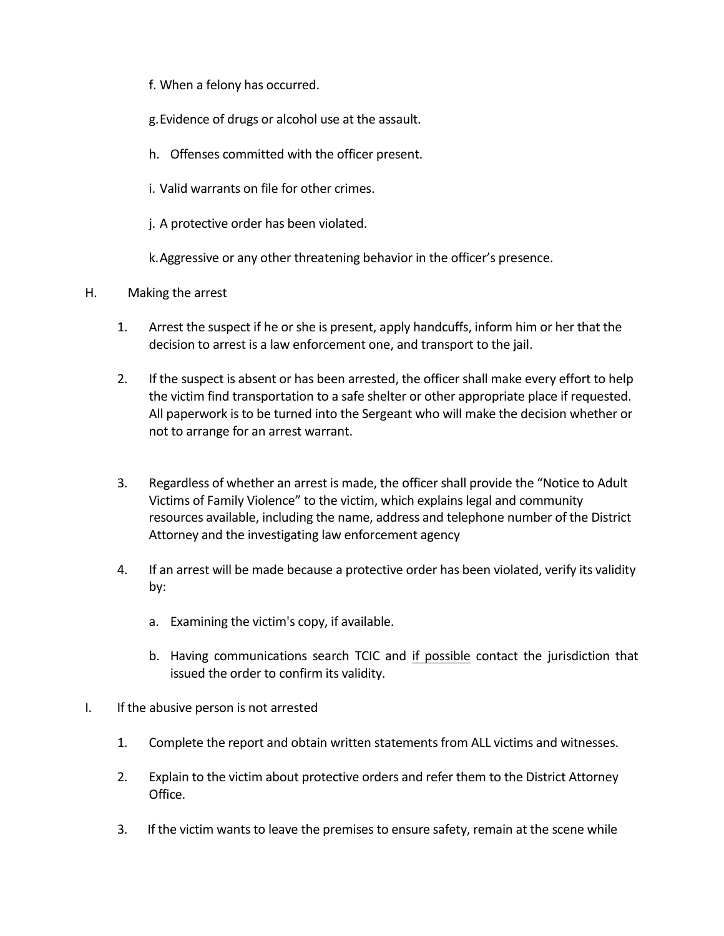- f. When a felony has occurred.
- g.Evidence of drugs or alcohol use at the assault.
- h. Offenses committed with the officer present.
- i. Valid warrants on file for other crimes.
- j. A protective order has been violated.

k.Aggressive or any other threatening behavior in the officer's presence.

#### H. Making the arrest

- 1. Arrest the suspect if he or she is present, apply handcuffs, inform him or her that the decision to arrest is a law enforcement one, and transport to the jail.
- 2. If the suspect is absent or has been arrested, the officer shall make every effort to help the victim find transportation to a safe shelter or other appropriate place if requested. All paperwork is to be turned into the Sergeant who will make the decision whether or not to arrange for an arrest warrant.
- 3. Regardless of whether an arrest is made, the officer shall provide the "Notice to Adult Victims of Family Violence" to the victim, which explains legal and community resources available, including the name, address and telephone number of the District Attorney and the investigating law enforcement agency
- 4. If an arrest will be made because a protective order has been violated, verify its validity by:
	- a. Examining the victim's copy, if available.
	- b. Having communications search TCIC and if possible contact the jurisdiction that issued the order to confirm its validity.
- I. If the abusive person is not arrested
	- 1. Complete the report and obtain written statements from ALL victims and witnesses.
	- 2. Explain to the victim about protective orders and refer them to the District Attorney Office.
	- 3. If the victim wants to leave the premises to ensure safety, remain at the scene while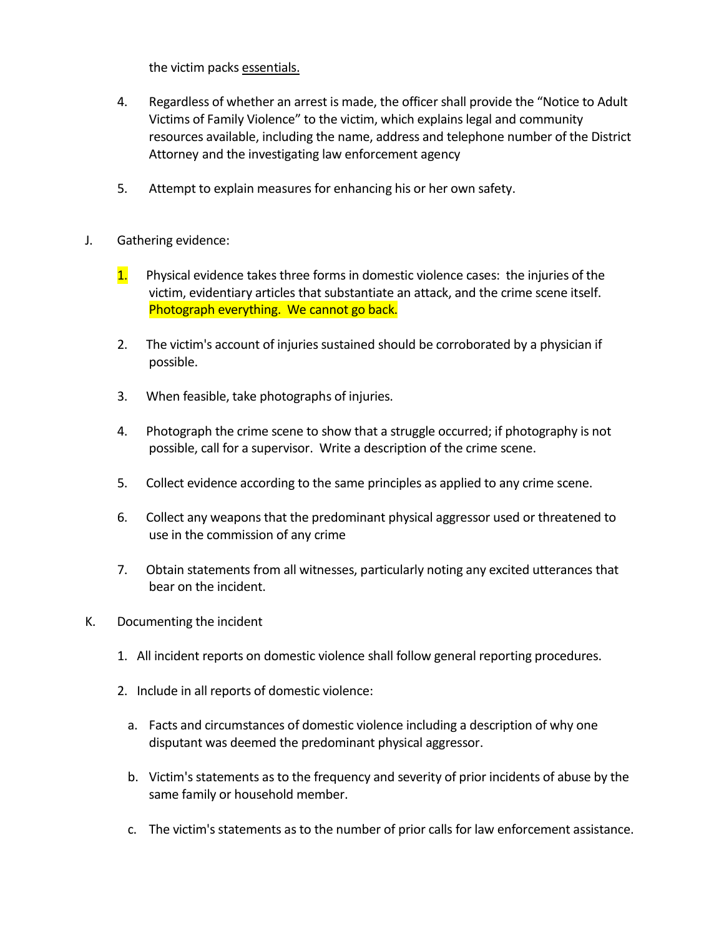the victim packs essentials.

- 4. Regardless of whether an arrest is made, the officer shall provide the "Notice to Adult Victims of Family Violence" to the victim, which explains legal and community resources available, including the name, address and telephone number of the District Attorney and the investigating law enforcement agency
- 5. Attempt to explain measures for enhancing his or her own safety.
- J. Gathering evidence:
	- $1.$  Physical evidence takes three forms in domestic violence cases: the injuries of the victim, evidentiary articles that substantiate an attack, and the crime scene itself. Photograph everything. We cannot go back.
	- 2. The victim's account of injuries sustained should be corroborated by a physician if possible.
	- 3. When feasible, take photographs of injuries.
	- 4. Photograph the crime scene to show that a struggle occurred; if photography is not possible, call for a supervisor. Write a description of the crime scene.
	- 5. Collect evidence according to the same principles as applied to any crime scene.
	- 6. Collect any weapons that the predominant physical aggressor used or threatened to use in the commission of any crime
	- 7. Obtain statements from all witnesses, particularly noting any excited utterances that bear on the incident.
- K. Documenting the incident
	- 1. All incident reports on domestic violence shall follow general reporting procedures.
	- 2. Include in all reports of domestic violence:
		- a. Facts and circumstances of domestic violence including a description of why one disputant was deemed the predominant physical aggressor.
		- b. Victim's statements as to the frequency and severity of prior incidents of abuse by the same family or household member.
		- c. The victim's statements as to the number of prior calls for law enforcement assistance.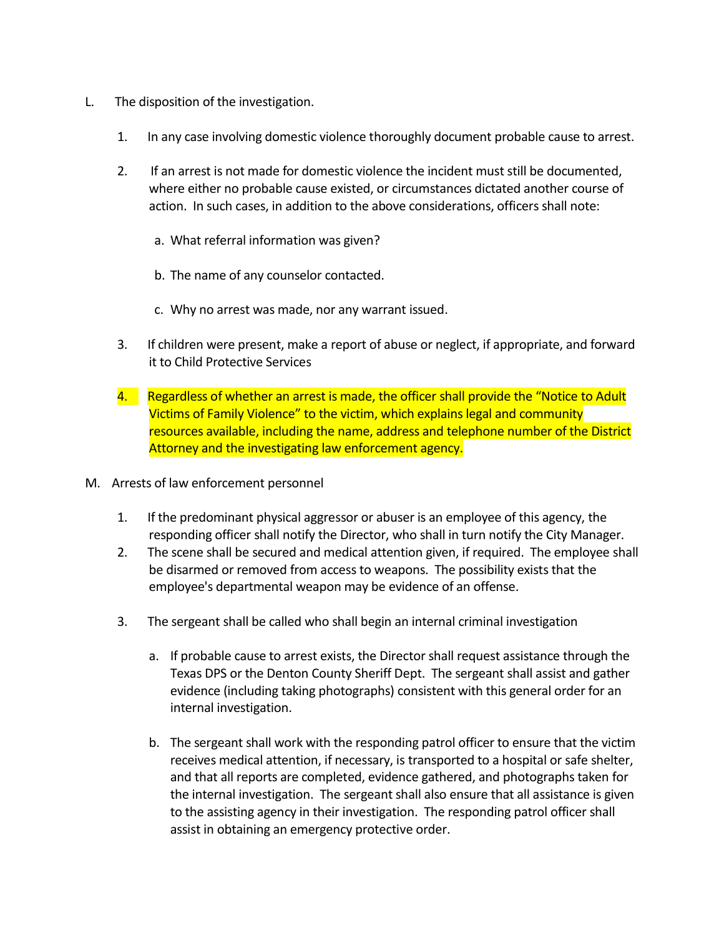- L. The disposition of the investigation.
	- 1. In any case involving domestic violence thoroughly document probable cause to arrest.
	- 2. If an arrest is not made for domestic violence the incident must still be documented, where either no probable cause existed, or circumstances dictated another course of action. In such cases, in addition to the above considerations, officers shall note:
		- a. What referral information was given?
		- b. The name of any counselor contacted.
		- c. Why no arrest was made, nor any warrant issued.
	- 3. If children were present, make a report of abuse or neglect, if appropriate, and forward it to Child Protective Services
	- 4. Regardless of whether an arrest is made, the officer shall provide the "Notice to Adult" Victims of Family Violence" to the victim, which explains legal and community resources available, including the name, address and telephone number of the District Attorney and the investigating law enforcement agency.
- M. Arrests of law enforcement personnel
	- 1. If the predominant physical aggressor or abuser is an employee of this agency, the responding officer shall notify the Director, who shall in turn notify the City Manager.
	- 2. The scene shall be secured and medical attention given, if required. The employee shall be disarmed or removed from access to weapons. The possibility exists that the employee's departmental weapon may be evidence of an offense.
	- 3. The sergeant shall be called who shall begin an internal criminal investigation
		- a. If probable cause to arrest exists, the Director shall request assistance through the Texas DPS or the Denton County Sheriff Dept. The sergeant shall assist and gather evidence (including taking photographs) consistent with this general order for an internal investigation.
		- b. The sergeant shall work with the responding patrol officer to ensure that the victim receives medical attention, if necessary, is transported to a hospital or safe shelter, and that all reports are completed, evidence gathered, and photographs taken for the internal investigation. The sergeant shall also ensure that all assistance is given to the assisting agency in their investigation. The responding patrol officer shall assist in obtaining an emergency protective order.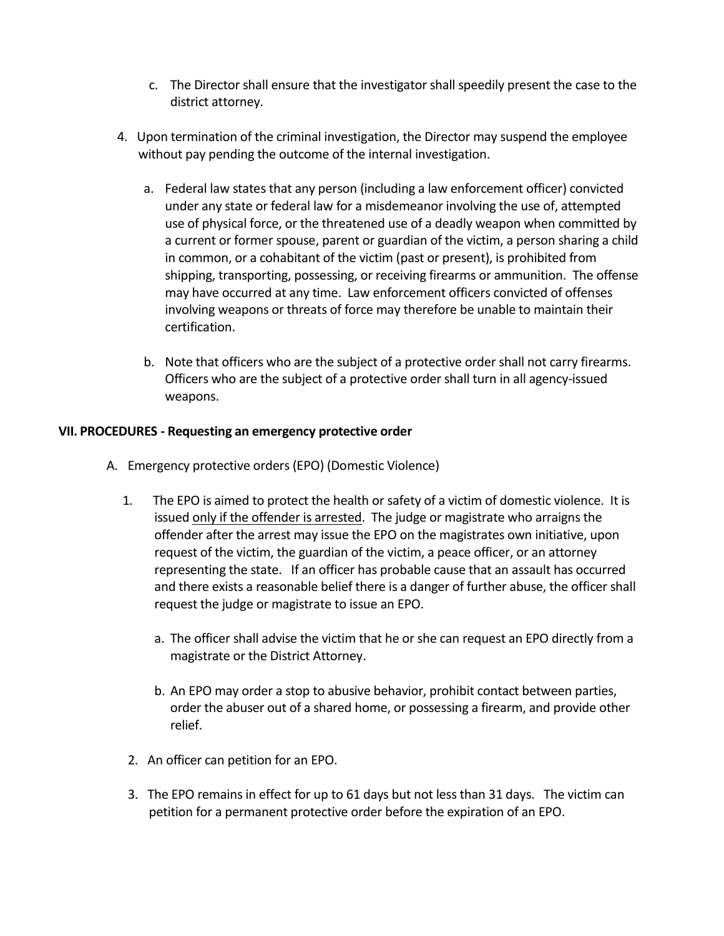- c. The Director shall ensure that the investigator shall speedily present the case to the district attorney.
- 4. Upon termination of the criminal investigation, the Director may suspend the employee without pay pending the outcome of the internal investigation.
	- a. Federal law states that any person (including a law enforcement officer) convicted under any state or federal law for a misdemeanor involving the use of, attempted use of physical force, or the threatened use of a deadly weapon when committed by a current or former spouse, parent or guardian of the victim, a person sharing a child in common, or a cohabitant of the victim (past or present), is prohibited from shipping, transporting, possessing, or receiving firearms or ammunition. The offense may have occurred at any time. Law enforcement officers convicted of offenses involving weapons or threats of force may therefore be unable to maintain their certification.
	- b. Note that officers who are the subject of a protective order shall not carry firearms. Officers who are the subject of a protective order shall turn in all agency-issued weapons.

#### **VII. PROCEDURES - Requesting an emergency protective order**

- A. Emergency protective orders (EPO) (Domestic Violence)
	- 1. The EPO is aimed to protect the health or safety of a victim of domestic violence. It is issued only if the offender is arrested. The judge or magistrate who arraigns the offender after the arrest may issue the EPO on the magistrates own initiative, upon request of the victim, the guardian of the victim, a peace officer, or an attorney representing the state. If an officer has probable cause that an assault has occurred and there exists a reasonable belief there is a danger of further abuse, the officer shall request the judge or magistrate to issue an EPO.
		- a. The officer shall advise the victim that he or she can request an EPO directly from a magistrate or the District Attorney.
		- b. An EPO may order a stop to abusive behavior, prohibit contact between parties, order the abuser out of a shared home, or possessing a firearm, and provide other relief.
	- 2. An officer can petition for an EPO.
	- 3. The EPO remains in effect for up to 61 days but not less than 31 days. The victim can petition for a permanent protective order before the expiration of an EPO.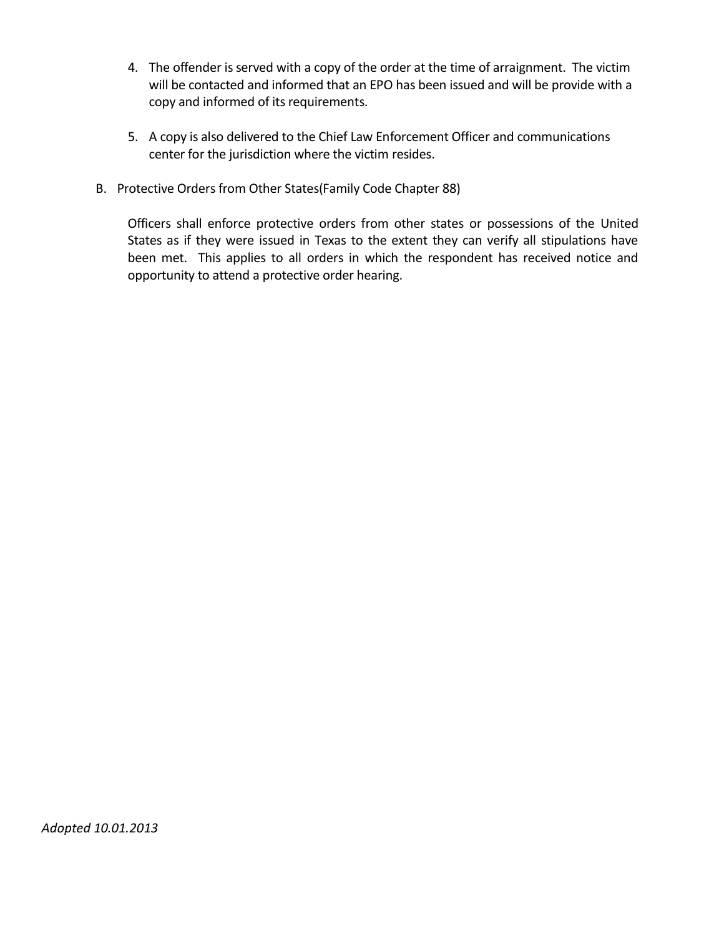- 4. The offender is served with a copy of the order at the time of arraignment. The victim will be contacted and informed that an EPO has been issued and will be provide with a copy and informed of its requirements.
- 5. A copy is also delivered to the Chief Law Enforcement Officer and communications center for the jurisdiction where the victim resides.
- B. Protective Orders from Other States(Family Code Chapter 88)

Officers shall enforce protective orders from other states or possessions of the United States as if they were issued in Texas to the extent they can verify all stipulations have been met. This applies to all orders in which the respondent has received notice and opportunity to attend a protective order hearing.

*Adopted 10.01.2013*